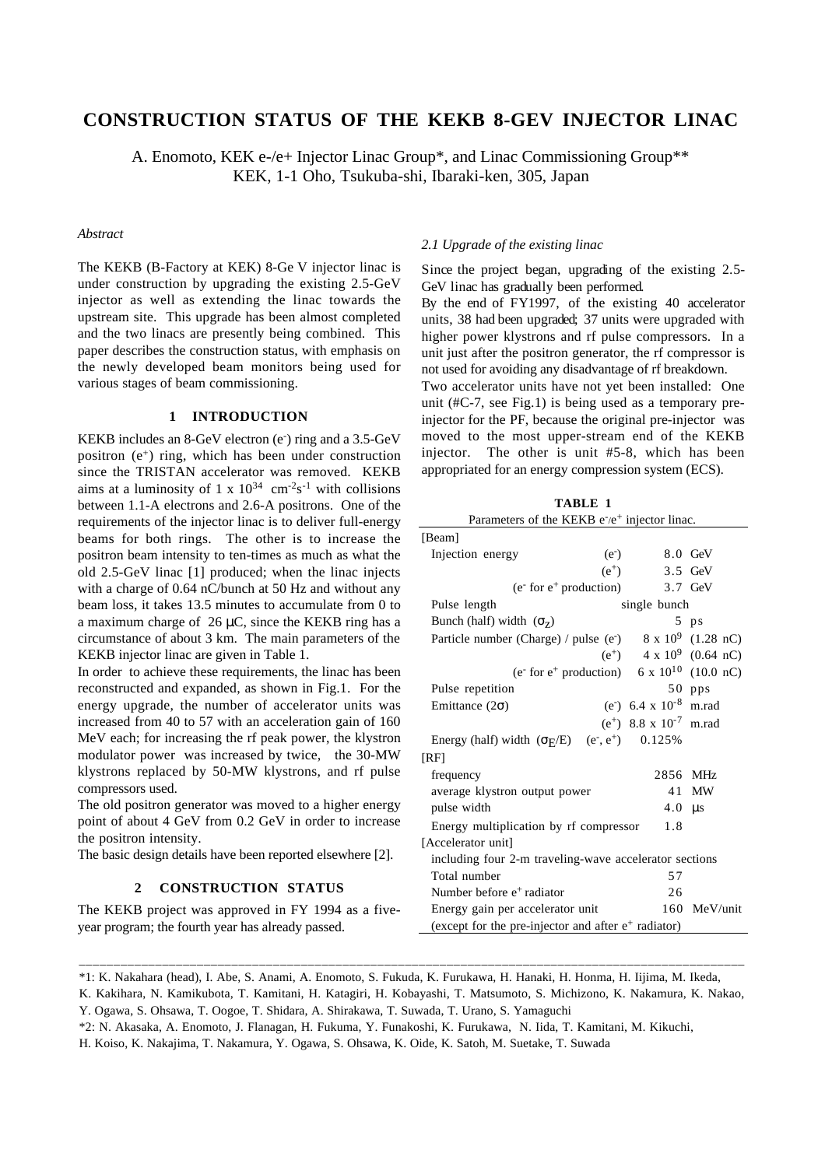# **CONSTRUCTION STATUS OF THE KEKB 8-GEV INJECTOR LINAC**

A. Enomoto, KEK e-/e+ Injector Linac Group\*, and Linac Commissioning Group\*\* KEK, 1-1 Oho, Tsukuba-shi, Ibaraki-ken, 305, Japan

# *Abstract*

The KEKB (B-Factory at KEK) 8-Ge V injector linac is under construction by upgrading the existing 2.5-GeV injector as well as extending the linac towards the upstream site. This upgrade has been almost completed and the two linacs are presently being combined. This paper describes the construction status, with emphasis on the newly developed beam monitors being used for various stages of beam commissioning.

### **1 INTRODUCTION**

KEKB includes an 8-GeV electron (e<sup>-</sup>) ring and a 3.5-GeV positron  $(e^+)$  ring, which has been under construction since the TRISTAN accelerator was removed. KEKB aims at a luminosity of 1 x  $10^{34}$  cm<sup>-2</sup>s<sup>-1</sup> with collisions between 1.1-A electrons and 2.6-A positrons. One of the requirements of the injector linac is to deliver full-energy beams for both rings. The other is to increase the positron beam intensity to ten-times as much as what the old 2.5-GeV linac [1] produced; when the linac injects with a charge of 0.64 nC/bunch at 50 Hz and without any beam loss, it takes 13.5 minutes to accumulate from 0 to a maximum charge of  $26 \mu C$ , since the KEKB ring has a circumstance of about 3 km. The main parameters of the KEKB injector linac are given in Table 1.

In order to achieve these requirements, the linac has been reconstructed and expanded, as shown in Fig.1. For the energy upgrade, the number of accelerator units was increased from 40 to 57 with an acceleration gain of 160 MeV each; for increasing the rf peak power, the klystron modulator power was increased by twice, the 30-MW klystrons replaced by 50-MW klystrons, and rf pulse compressors used.

The old positron generator was moved to a higher energy point of about 4 GeV from 0.2 GeV in order to increase the positron intensity.

The basic design details have been reported elsewhere [2].

# **2 CONSTRUCTION STATUS**

The KEKB project was approved in FY 1994 as a fiveyear program; the fourth year has already passed.

### *2.1 Upgrade of the existing linac*

Since the project began, upgrading of the existing 2.5- GeV linac has gradually been performed.

By the end of FY1997, of the existing 40 accelerator units, 38 had been upgraded; 37 units were upgraded with higher power klystrons and rf pulse compressors. In a unit just after the positron generator, the rf compressor is not used for avoiding any disadvantage of rf breakdown.

Two accelerator units have not yet been installed: One unit (#C-7, see Fig.1) is being used as a temporary preinjector for the PF, because the original pre-injector was moved to the most upper-stream end of the KEKB injector. The other is unit #5-8, which has been appropriated for an energy compression system (ECS).

**TABLE 1**

| IABLE 1                                                                          |         |                                             |              |
|----------------------------------------------------------------------------------|---------|---------------------------------------------|--------------|
| Parameters of the KEKB e <sup>-/e+</sup> injector linac.                         |         |                                             |              |
| [Beam]                                                                           |         |                                             |              |
| Injection energy                                                                 | $(e^-)$ |                                             | 8.0 GeV      |
|                                                                                  | $(e^+)$ |                                             | 3.5 GeV      |
| (e <sup>-</sup> for e <sup>+</sup> production) 3.7 GeV                           |         |                                             |              |
| single bunch<br>Pulse length                                                     |         |                                             |              |
| Bunch (half) width $(\sigma_Z)$                                                  |         |                                             | $5$ ps       |
| Particle number (Charge) / pulse (e <sup>-</sup> ) 8 x 10 <sup>9</sup> (1.28 nC) |         |                                             |              |
|                                                                                  |         | (e <sup>+</sup> ) $4 \times 10^9$ (0.64 nC) |              |
| (e <sup>-</sup> for e <sup>+</sup> production) 6 x $10^{10}$ (10.0 nC)           |         |                                             |              |
| Pulse repetition                                                                 |         |                                             | 50 pps       |
| Emittance $(2\sigma)$                                                            |         | (e <sup>-</sup> ) 6.4 x $10^{-8}$ m.rad     |              |
|                                                                                  |         | $(e^+)$ 8.8 x 10 <sup>-7</sup> m.rad        |              |
| Energy (half) width $(\sigma_E/E)$ (e <sup>-</sup> , e <sup>+</sup> ) 0.125%     |         |                                             |              |
| [RF]                                                                             |         |                                             |              |
| frequency                                                                        |         | 2856 MHz                                    |              |
| average klystron output power                                                    |         | 41 MW                                       |              |
| pulse width<br>$4.0 \text{ }\mu\text{s}$                                         |         |                                             |              |
| Energy multiplication by rf compressor<br>1.8                                    |         |                                             |              |
| [Accelerator unit]                                                               |         |                                             |              |
| including four 2-m traveling-wave accelerator sections                           |         |                                             |              |
| Total number                                                                     |         | 57                                          |              |
| Number before e <sup>+</sup> radiator                                            |         | 26                                          |              |
| Energy gain per accelerator unit                                                 |         |                                             | 160 MeV/unit |
| (except for the pre-injector and after e <sup>+</sup> radiator)                  |         |                                             |              |

<sup>\*1:</sup> K. Nakahara (head), I. Abe, S. Anami, A. Enomoto, S. Fukuda, K. Furukawa, H. Hanaki, H. Honma, H. Iijima, M. Ikeda,

K. Kakihara, N. Kamikubota, T. Kamitani, H. Katagiri, H. Kobayashi, T. Matsumoto, S. Michizono, K. Nakamura, K. Nakao, Y. Ogawa, S. Ohsawa, T. Oogoe, T. Shidara, A. Shirakawa, T. Suwada, T. Urano, S. Yamaguchi

\_\_\_\_\_\_\_\_\_\_\_\_\_\_\_\_\_\_\_\_\_\_\_\_\_\_\_\_\_\_\_\_\_\_\_\_\_\_\_\_\_\_\_\_\_\_\_\_\_\_\_\_\_\_\_\_\_\_\_\_\_\_\_\_\_\_\_\_\_\_\_\_\_\_\_\_\_\_\_\_\_\_\_\_\_\_\_\_\_\_\_\_\_\_\_\_

H. Koiso, K. Nakajima, T. Nakamura, Y. Ogawa, S. Ohsawa, K. Oide, K. Satoh, M. Suetake, T. Suwada

<sup>\*2:</sup> N. Akasaka, A. Enomoto, J. Flanagan, H. Fukuma, Y. Funakoshi, K. Furukawa, N. Iida, T. Kamitani, M. Kikuchi,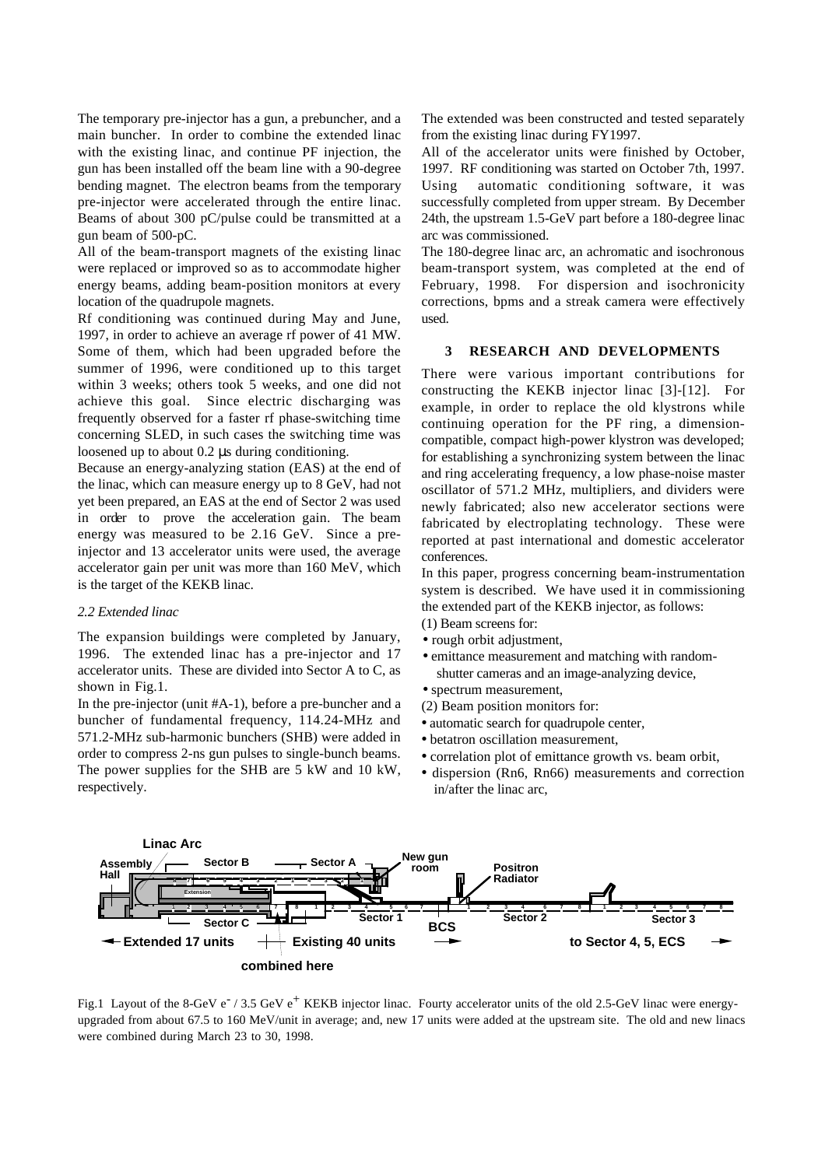The temporary pre-injector has a gun, a prebuncher, and a main buncher. In order to combine the extended linac with the existing linac, and continue PF injection, the gun has been installed off the beam line with a 90-degree bending magnet. The electron beams from the temporary pre-injector were accelerated through the entire linac. Beams of about 300 pC/pulse could be transmitted at a gun beam of 500-pC.

All of the beam-transport magnets of the existing linac were replaced or improved so as to accommodate higher energy beams, adding beam-position monitors at every location of the quadrupole magnets.

Rf conditioning was continued during May and June, 1997, in order to achieve an average rf power of 41 MW. Some of them, which had been upgraded before the summer of 1996, were conditioned up to this target within 3 weeks; others took 5 weeks, and one did not achieve this goal. Since electric discharging was frequently observed for a faster rf phase-switching time concerning SLED, in such cases the switching time was loosened up to about 0.2 µs during conditioning.

Because an energy-analyzing station (EAS) at the end of the linac, which can measure energy up to 8 GeV, had not yet been prepared, an EAS at the end of Sector 2 was used in order to prove the acceleration gain. The beam energy was measured to be 2.16 GeV. Since a preinjector and 13 accelerator units were used, the average accelerator gain per unit was more than 160 MeV, which is the target of the KEKB linac.

#### *2.2 Extended linac*

The expansion buildings were completed by January, 1996. The extended linac has a pre-injector and 17 accelerator units. These are divided into Sector A to C, as shown in Fig.1.

In the pre-injector (unit #A-1), before a pre-buncher and a buncher of fundamental frequency, 114.24-MHz and 571.2-MHz sub-harmonic bunchers (SHB) were added in order to compress 2-ns gun pulses to single-bunch beams. The power supplies for the SHB are 5 kW and 10 kW, respectively.

The extended was been constructed and tested separately from the existing linac during FY1997.

All of the accelerator units were finished by October, 1997. RF conditioning was started on October 7th, 1997. Using automatic conditioning software, it was successfully completed from upper stream. By December 24th, the upstream 1.5-GeV part before a 180-degree linac arc was commissioned.

The 180-degree linac arc, an achromatic and isochronous beam-transport system, was completed at the end of February, 1998. For dispersion and isochronicity corrections, bpms and a streak camera were effectively used.

#### **3 RESEARCH AND DEVELOPMENTS**

There were various important contributions for constructing the KEKB injector linac [3]-[12]. For example, in order to replace the old klystrons while continuing operation for the PF ring, a dimensioncompatible, compact high-power klystron was developed; for establishing a synchronizing system between the linac and ring accelerating frequency, a low phase-noise master oscillator of 571.2 MHz, multipliers, and dividers were newly fabricated; also new accelerator sections were fabricated by electroplating technology. These were reported at past international and domestic accelerator conferences.

In this paper, progress concerning beam-instrumentation system is described. We have used it in commissioning the extended part of the KEKB injector, as follows:

- (1) Beam screens for:
- rough orbit adjustment,
- emittance measurement and matching with randomshutter cameras and an image-analyzing device,
- spectrum measurement,
- (2) Beam position monitors for:
- automatic search for quadrupole center,
- betatron oscillation measurement,
- correlation plot of emittance growth vs. beam orbit,
- dispersion (Rn6, Rn66) measurements and correction in/after the linac arc,



Fig.1 Layout of the 8-GeV e<sup>-</sup> / 3.5 GeV e<sup>+</sup> KEKB injector linac. Fourty accelerator units of the old 2.5-GeV linac were energyupgraded from about 67.5 to 160 MeV/unit in average; and, new 17 units were added at the upstream site. The old and new linacs were combined during March 23 to 30, 1998.